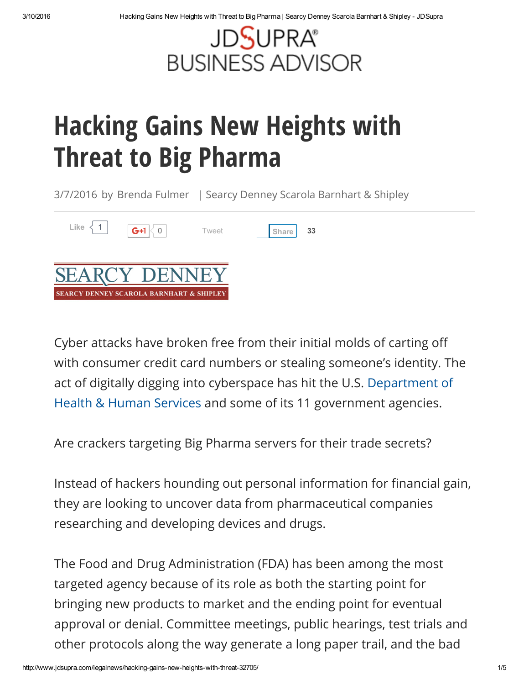

## Hacking Gains New Heights with Threat to Big Pharma

3/7/2016 by [Brenda](http://www.jdsupra.com/authors/brenda-fulmer/) Fulmer | Searcy Denney Scarola [Barnhart](http://www.jdsupra.com/profile/Searcy_Denney_Scarola_Barnhart_Shipley_docs/) & Shipley



Cyber attacks have broken free from their initial molds of carting off with consumer credit card numbers or stealing someone's identity. The act of digitally digging into cyberspace has hit the U.S. Department of Health & Human Services and some of its 11 [government](http://www.hhs.gov/) agencies.

Are crackers targeting Big Pharma servers for their trade secrets?

Instead of hackers hounding out personal information for financial gain, they are looking to uncover data from pharmaceutical companies researching and developing devices and drugs.

The Food and Drug Administration (FDA) has been among the most targeted agency because of its role as both the starting point for bringing new products to market and the ending point for eventual approval or denial. Committee meetings, public hearings, test trials and other protocols along the way generate a long paper trail, and the bad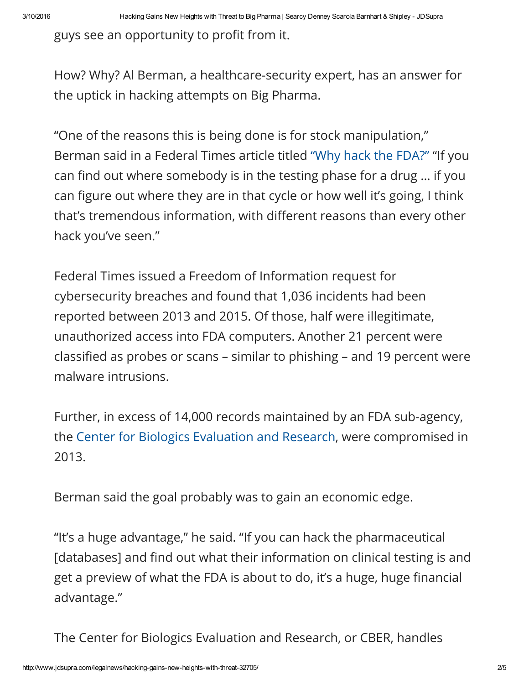guys see an opportunity to profit from it.

How? Why? Al Berman, a healthcare-security expert, has an answer for the uptick in hacking attempts on Big Pharma.

"One of the reasons this is being done is for stock manipulation," Berman said in a Federal Times article titled "Why hack the [FDA?"](http://www.federaltimes.com/story/government/cybersecurity/2016/02/16/hack-fda/80408670/) "If you can find out where somebody is in the testing phase for a drug ... if you can figure out where they are in that cycle or how well it's going, I think that's tremendous information, with different reasons than every other hack you've seen."

Federal Times issued a Freedom of Information request for cybersecurity breaches and found that 1,036 incidents had been reported between 2013 and 2015. Of those, half were illegitimate, unauthorized access into FDA computers. Another 21 percent were classified as probes or scans – similar to phishing – and 19 percent were malware intrusions.

Further, in excess of 14,000 records maintained by an FDA sub-agency, the Center for Biologics [Evaluation](http://www.fda.gov/AboutFDA/CentersOffices/OfficeofMedicalProductsandTobacco/CBER/) and Research, were compromised in 2013.

Berman said the goal probably was to gain an economic edge.

"It's a huge advantage," he said. "If you can hack the pharmaceutical [databases] and find out what their information on clinical testing is and get a preview of what the FDA is about to do, it's a huge, huge financial advantage."

The Center for Biologics Evaluation and Research, or CBER, handles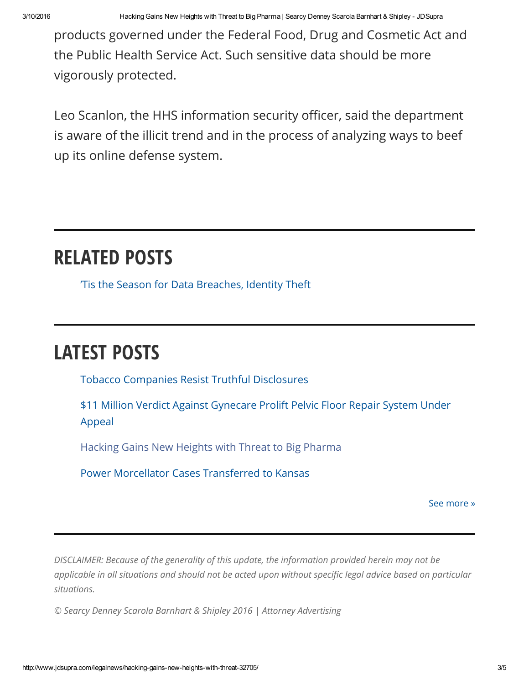3/10/2016 Hacking Gains New Heights with Threat to Big Pharma | Searcy Denney Scarola Barnhart & Shipley JDSupra

products governed under the Federal Food, Drug and Cosmetic Act and the Public Health Service Act. Such sensitive data should be more vigorously protected.

Leo Scanlon, the HHS information security officer, said the department is aware of the illicit trend and in the process of analyzing ways to beef up its online defense system.

## RELATED POSTS

'Tis the Season for Data [Breaches,](http://www.jdsupra.com/legalnews/tis-the-season-for-data-breaches-ident-78772/) Identity Theft

## LATEST POSTS

Tobacco Companies Resist Truthful [Disclosures](http://www.jdsupra.com/legalnews/tobacco-companies-resist-truthful-41600/)

\$11 Million Verdict Against [Gynecare](http://www.jdsupra.com/legalnews/11-million-verdict-against-gynecare-21532/) Prolift Pelvic Floor Repair System Under Appeal

[Hacking](http://www.jdsupra.com/legalnews/hacking-gains-new-heights-with-threat-32705/) Gains New Heights with Threat to Big Pharma

Power Morcellator Cases [Transferred](http://www.jdsupra.com/legalnews/power-morcellator-cases-transferred-to-41484/) to Kansas

See [more](http://www.jdsupra.com/profile/Searcy_Denney_Scarola_Barnhart_Shipley_docs/) »

*DISCLAIMER: Because of the generality of this update, the information provided herein may not be* applicable in all situations and should not be acted upon without specific legal advice based on particular *situations.*

*© Searcy Denney Scarola Barnhart & Shipley 2016 | Attorney Advertising*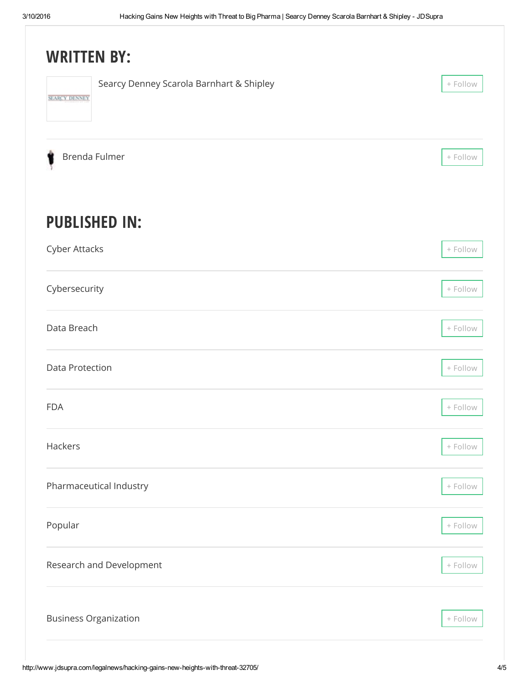| <b>WRITTEN BY:</b>                                               |            |
|------------------------------------------------------------------|------------|
| Searcy Denney Scarola Barnhart & Shipley<br><b>SEARCY DENNEY</b> | + Follow   |
| Brenda Fulmer                                                    | + Follow   |
| <b>PUBLISHED IN:</b>                                             |            |
| Cyber Attacks                                                    | $+$ Follow |
| Cybersecurity                                                    | + Follow   |
| Data Breach                                                      | + Follow   |
| Data Protection                                                  | + Follow   |
| <b>FDA</b>                                                       | + Follow   |
| Hackers                                                          | + Follow   |
| Pharmaceutical Industry                                          | $+$ Follow |
| Popular                                                          | $+$ Follow |
| Research and Development                                         | $+$ Follow |
| <b>Business Organization</b>                                     | + Follow   |
|                                                                  |            |